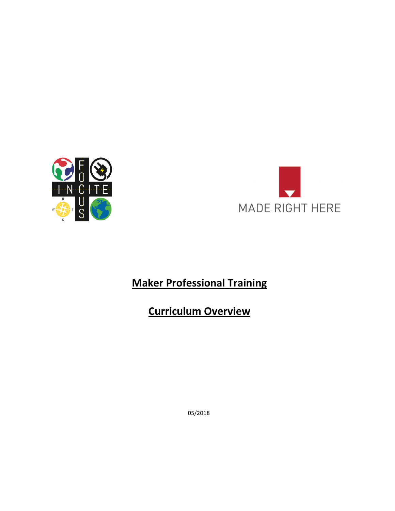



# **Maker Professional Training**

# **Curriculum Overview**

05/2018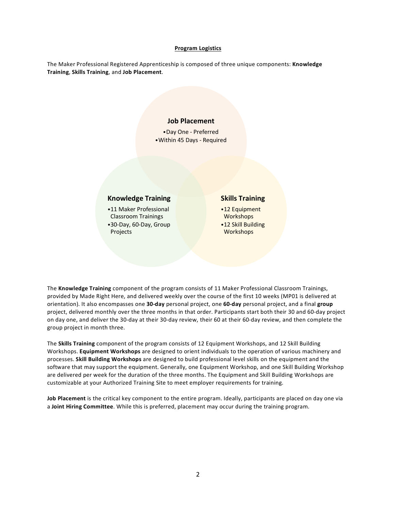## **Program Logistics**

The Maker Professional Registered Apprenticeship is composed of three unique components: **Knowledge Training**, **Skills Training**, and **Job Placement**.

# **Job Placement**

•Day One - Preferred •Within 45 Days - Required

# **Knowledge Training**

•11 Maker Professional Classroom Trainings •30-Day, 60-Day, Group

Projects

## **Skills Training**

•12 Equipment Workshops •12 Skill Building **Workshops** 

The **Knowledge Training** component of the program consists of 11 Maker Professional Classroom Trainings, provided by Made Right Here, and delivered weekly over the course of the first 10 weeks (MP01 is delivered at orientation). It also encompasses one **30-day** personal project, one **60-day** personal project, and a final **group**  project, delivered monthly over the three months in that order. Participants start both their 30 and 60-day project on day one, and deliver the 30-day at their 30-day review, their 60 at their 60-day review, and then complete the group project in month three.

The **Skills Training** component of the program consists of 12 Equipment Workshops, and 12 Skill Building Workshops. **Equipment Workshops** are designed to orient individuals to the operation of various machinery and processes. **Skill Building Workshops** are designed to build professional level skills on the equipment and the software that may support the equipment. Generally, one Equipment Workshop, and one Skill Building Workshop are delivered per week for the duration of the three months. The Equipment and Skill Building Workshops are customizable at your Authorized Training Site to meet employer requirements for training.

**Job Placement** is the critical key component to the entire program. Ideally, participants are placed on day one via a **Joint Hiring Committee**. While this is preferred, placement may occur during the training program.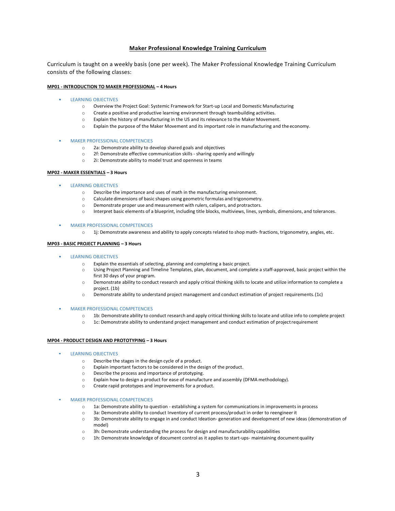## **Maker Professional Knowledge Training Curriculum**

Curriculum is taught on a weekly basis (one per week). The Maker Professional Knowledge Training Curriculum consists of the following classes:

#### **MP01 - INTRODUCTION TO MAKER PROFESSIONAL – 4 Hours**

- LEARNING OBJECTIVES
	- o Overview the Project Goal: Systemic Framework for Start-up Local and Domestic Manufacturing
	- o Create a positive and productive learning environment through teambuilding activities.
	- o Explain the history of manufacturing in the US and its relevance to the Maker Movement.
	- o Explain the purpose of the Maker Movement and its important role in manufacturing and the economy.
- MAKER PROFESSIONAL COMPETENCIES
	- o 2a: Demonstrate ability to develop shared goals and objectives
	- o 2f: Demonstrate effective communication skills sharing openly and willingly
	- o 2i: Demonstrate ability to model trust and openness in teams

#### **MP02 - MAKER ESSENTIALS – 3 Hours**

- LEARNING OBJECTIVES
	- o Describe the importance and uses of math in the manufacturing environment.
	- o Calculate dimensions of basic shapes using geometric formulas and trigonometry.
	- o Demonstrate proper use and measurement with rulers, calipers, and protractors.
	- o Interpret basic elements of a blueprint, including title blocks, multiviews, lines, symbols, dimensions, and tolerances.
- MAKER PROFESSIONAL COMPETENCIES
	- o 1j: Demonstrate awareness and ability to apply concepts related to shop math- fractions, trigonometry, angles, etc.

## **MP03 - BASIC PROJECT PLANNING – 3 Hours**

- LEARNING OBJECTIVES
	- o Explain the essentials of selecting, planning and completing a basic project.
	- o Using Project Planning and Timeline Templates, plan, document, and complete a staff-approved, basic project within the first 30 days of your program.
	- o Demonstrate ability to conduct research and apply critical thinking skills to locate and utilize information to complete a project. (1b)
	- Demonstrate ability to understand project management and conduct estimation of project requirements. (1c)
- MAKER PROFESSIONAL COMPETENCIES
	- o 1b: Demonstrate ability to conduct research and apply critical thinking skillsto locate and utilize info to complete project
	- o 1c: Demonstrate ability to understand project management and conduct estimation of projectrequirement

#### **MP04 - PRODUCT DESIGN AND PROTOTYPING – 3 Hours**

- **LEARNING OBJECTIVES** 
	- o Describe the stages in the design cycle of a product.
	- o Explain important factors to be considered in the design of the product.
	- o Describe the process and importance of prototyping.
	- o Explain how to design a product for ease of manufacture and assembly (DFMA methodology).
	- o Create rapid prototypes and improvements for a product.
- **MAKER PROFESSIONAL COMPETENCIES** 
	- o 1a: Demonstrate ability to question establishing a system for communications in improvements in process
	- o 3a: Demonstrate ability to conduct Inventory of current process/product in order to reengineerit
	- o 3b: Demonstrate ability to engage in and conduct Ideation- generation and development of new ideas (demonstration of model)
	- $\circ$  3h: Demonstrate understanding the process for design and manufacturability capabilities
	- o 1h: Demonstrate knowledge of document control as it applies to start-ups- maintaining document quality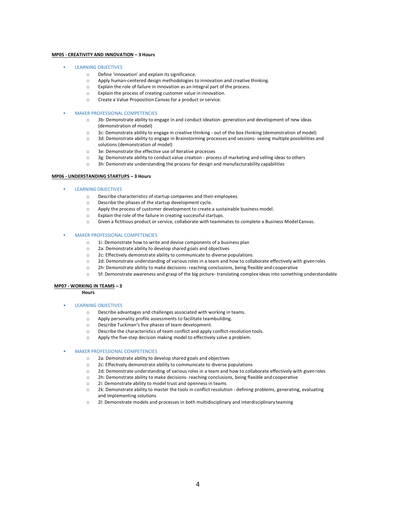### **MP05 - CREATIVITY AND INNOVATION – 3 Hours**

## **LEARNING OBJECTIVES**

- o Define 'innovation' and explain its significance.
- o Apply human-centered design methodologies to innovation and creative thinking.
- o Explain the role of failure in innovation as an integral part of the process.
- o Explain the process of creating customer value in innovation.
- o Create a Value Proposition Canvas for a product orservice.

#### **MAKER PROFESSIONAL COMPETENCIES**

- o 3b: Demonstrate ability to engage in and conduct Ideation- generation and development of new ideas (demonstration of model)
- o 3c: Demonstrate ability to engage in creative thinking out of the box thinking (demonstration ofmodel)
- o 3d: Demonstrate ability to engage in Brainstorming processes and sessions- seeing multiple possibilities and solutions (demonstration of model)
- o 3e: Demonstrate the effective use of Iterative processes
- o 3g: Demonstrate ability to conduct value creation process of marketing and selling ideas to others
- o 3h: Demonstrate understanding the process for design and manufacturability capabilities

#### **MP06 - UNDERSTANDING STARTUPS – 3 Hours**

#### LEARNING OBJECTIVES

- o Describe characteristics of startup companies and their employees.
- o Describe the phases of the startup development cycle.
- o Apply the process of customer development to create a sustainable business model.
- o Explain the role of the failure in creating successfulstartups.
- o Given a fictitious product or service, collaborate with teammates to complete a Business Model Canvas.

## **MAKER PROFESSIONAL COMPETENCIES**

- o 1i: Demonstrate how to write and devise components of a business plan
- o 2a: Demonstrate ability to develop shared goals and objectives
- o 2c: Effectively demonstrate ability to communicate to diverse populations
- o 2d: Demonstrate understanding of various roles in a team and how to collaborate effectively with givenroles
- o 2h: Demonstrate ability to make decisions- reaching conclusions, being flexible and cooperative
- o 5f: Demonstrate awareness and grasp of the big picture- translating complex ideas into something understandable

## **MP07 - WORKING IN TEAMS – 3**

**Hours**

## • LEARNING OBJECTIVES

- o Describe advantages and challenges associated with working in teams.
- o Apply personality profile assessments to facilitate teambuilding.
- o Describe Tuckman's five phases of team development.
- o Describe the characteristics of team conflict and apply conflict-resolution tools.
- o Apply the five-step decision making model to effectively solve a problem.

### • MAKER PROFESSIONAL COMPETENCIES

- o 2a: Demonstrate ability to develop shared goals and objectives
- o 2c: Effectively demonstrate ability to communicate to diverse populations
- o 2d: Demonstrate understanding of various roles in a team and how to collaborate effectively with givenroles
- o 2h: Demonstrate ability to make decisions- reaching conclusions, being flexible and cooperative
- o 2i: Demonstrate ability to model trust and openness in teams
- o 2k: Demonstrate ability to master the tools in conflict resolution defining problems, generating, evaluating and implementing solutions
- o 2l: Demonstrate models and processes in both multidisciplinary and interdisciplinary teaming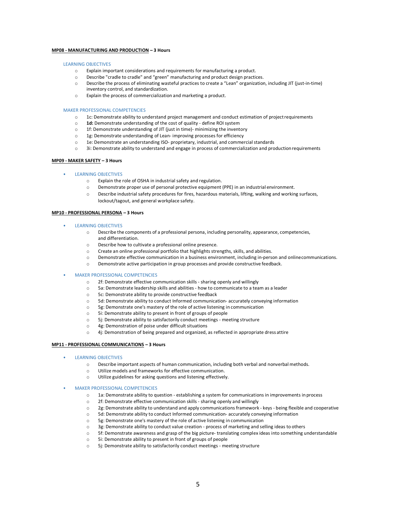## **MP08 - MANUFACTURING AND PRODUCTION – 3 Hours**

#### LEARNING OBJECTIVES

- o Explain important considerations and requirements for manufacturing a product.
- o Describe "cradle to cradle" and "green" manufacturing and product design practices.
- o Describe the process of eliminating wasteful practices to create a "Lean" organization, including JIT (just-in-time) inventory control, and standardization.
- o Explain the process of commercialization and marketing a product.

#### MAKER PROFESSIONAL COMPETENCIES

- o 1c: Demonstrate ability to understand project management and conduct estimation of projectrequirements
- o **1d:** Demonstrate understanding of the cost of quality define ROI system
- o 1f: Demonstrate understanding of JIT (just in time)- minimizing the inventory
- 1g: Demonstrate understanding of Lean- improving processes for efficiency
- o 1e: Demonstrate an understanding ISO- proprietary, industrial, and commercial standards
- 3i: Demonstrate ability to understand and engage in process of commercialization and production requirements

### **MP09 - MAKER SAFETY – 3 Hours**

#### • LEARNING OBJECTIVES

- o Explain the role of OSHA in industrial safety and regulation.
- o Demonstrate proper use of personal protective equipment (PPE) in an industrial environment.
- o Describe industrial safety procedures for fires, hazardous materials, lifting, walking and working surfaces, lockout/tagout, and general workplace safety.

## **MP10 - PROFESSIONAL PERSONA – 3 Hours**

- LEARNING OBJECTIVES
	- o Describe the components of a professional persona, including personality, appearance, competencies, and differentiation.
	- o Describe how to cultivate a professional online presence.
	- o Create an online professional portfolio that highlights strengths, skills, and abilities.
	- o Demonstrate effective communication in a business environment, including in-person and onlinecommunications.
	- o Demonstrate active participation in group processes and provide constructive feedback.

## • MAKER PROFESSIONAL COMPETENCIES

- o 2f: Demonstrate effective communication skills sharing openly and willingly
- o 5a: Demonstrate leadership skills and abilities how to communicate to a team as a leader
- o 5c: Demonstrate ability to provide constructive feedback
- o 5d: Demonstrate ability to conduct Informed communication- accurately conveying information
- o 5g: Demonstrate one's mastery of the role of active listening in communication
- o 5i: Demonstrate ability to present in front of groups of people
- o 5j: Demonstrate ability to satisfactorily conduct meetings meeting structure
- o 4g: Demonstration of poise under difficult situations
- o 4j: Demonstration of being prepared and organized, as reflected in appropriate dress attire

## **MP11 - PROFESSIONAL COMMUNICATIONS – 3 Hours**

- LEARNING OBJECTIVES
	- o Describe important aspects of human communication, including both verbal and nonverbal methods.
	- o Utilize models and frameworks for effective communication.
	- o Utilize guidelines for asking questions and listening effectively.
- MAKER PROFESSIONAL COMPETENCIES
	- o 1a: Demonstrate ability to question establishing a system for communications in improvements in process
	- o 2f: Demonstrate effective communication skills sharing openly and willingly
	- o 2g: Demonstrate ability to understand and apply communications framework keys being flexible and cooperative
	- o 5d: Demonstrate ability to conduct Informed communication- accurately conveying information
	- o 5g: Demonstrate one's mastery of the role of active listening in communication
	- o 3g: Demonstrate ability to conduct value creation process of marketing and selling ideas to others
	- o 5f: Demonstrate awareness and grasp of the big picture- translating complex ideas into something understandable
	- o 5i: Demonstrate ability to present in front of groups of people
	- o 5j: Demonstrate ability to satisfactorily conduct meetings meeting structure